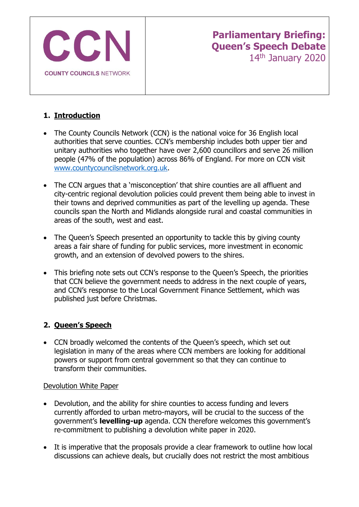

# **1. Introduction**

- The County Councils Network (CCN) is the national voice for 36 English local authorities that serve counties. CCN's membership includes both upper tier and unitary authorities who together have over 2,600 councillors and serve 26 million people (47% of the population) across 86% of England. For more on CCN visit [www.countycouncilsnetwork.org.uk.](http://www.countycouncilsnetwork.org.uk/)
- The CCN argues that a 'misconception' that shire counties are all affluent and city-centric regional devolution policies could prevent them being able to invest in their towns and deprived communities as part of the levelling up agenda. These councils span the North and Midlands alongside rural and coastal communities in areas of the south, west and east.
- The Queen's Speech presented an opportunity to tackle this by giving county areas a fair share of funding for public services, more investment in economic growth, and an extension of devolved powers to the shires.
- This briefing note sets out CCN's response to the Queen's Speech, the priorities that CCN believe the government needs to address in the next couple of years, and CCN's response to the Local Government Finance Settlement, which was published just before Christmas.

# **2. Queen's Speech**

• CCN broadly welcomed the contents of the Queen's speech, which set out legislation in many of the areas where CCN members are looking for additional powers or support from central government so that they can continue to transform their communities.

### Devolution White Paper

- Devolution, and the ability for shire counties to access funding and levers currently afforded to urban metro-mayors, will be crucial to the success of the government's **levelling-up** agenda. CCN therefore welcomes this government's re-commitment to publishing a devolution white paper in 2020.
- It is imperative that the proposals provide a clear framework to outline how local discussions can achieve deals, but crucially does not restrict the most ambitious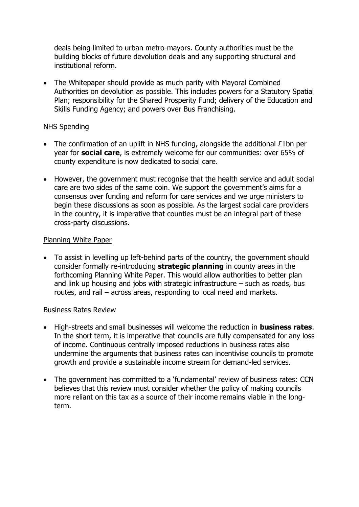deals being limited to urban metro-mayors. County authorities must be the building blocks of future devolution deals and any supporting structural and institutional reform.

• The Whitepaper should provide as much parity with Mayoral Combined Authorities on devolution as possible. This includes powers for a Statutory Spatial Plan; responsibility for the Shared Prosperity Fund; delivery of the Education and Skills Funding Agency; and powers over Bus Franchising.

#### NHS Spending

- The confirmation of an uplift in NHS funding, alongside the additional £1bn per year for **social care**, is extremely welcome for our communities: over 65% of county expenditure is now dedicated to social care.
- However, the government must recognise that the health service and adult social care are two sides of the same coin. We support the government's aims for a consensus over funding and reform for care services and we urge ministers to begin these discussions as soon as possible. As the largest social care providers in the country, it is imperative that counties must be an integral part of these cross-party discussions.

#### Planning White Paper

• To assist in levelling up left-behind parts of the country, the government should consider formally re-introducing **strategic planning** in county areas in the forthcoming Planning White Paper. This would allow authorities to better plan and link up housing and jobs with strategic infrastructure  $-$  such as roads, bus routes, and rail – across areas, responding to local need and markets.

#### Business Rates Review

- High-streets and small businesses will welcome the reduction in **business rates**. In the short term, it is imperative that councils are fully compensated for any loss of income. Continuous centrally imposed reductions in business rates also undermine the arguments that business rates can incentivise councils to promote growth and provide a sustainable income stream for demand-led services.
- The government has committed to a 'fundamental' review of business rates: CCN believes that this review must consider whether the policy of making councils more reliant on this tax as a source of their income remains viable in the longterm.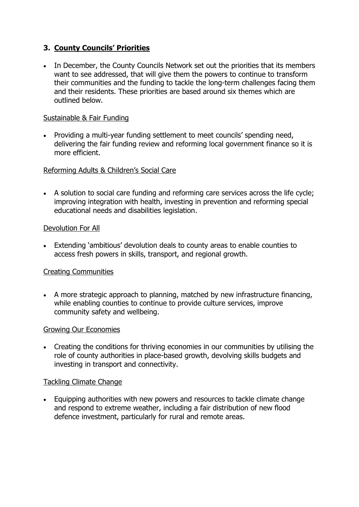# **3. County Councils' Priorities**

• In December, the County Councils Network set out the priorities that its members want to see addressed, that will give them the powers to continue to transform their communities and the funding to tackle the long-term challenges facing them and their residents. These priorities are based around six themes which are outlined below.

### Sustainable & Fair Funding

• Providing a multi-year funding settlement to meet councils' spending need, delivering the fair funding review and reforming local government finance so it is more efficient.

## Reforming Adults & Children's Social Care

• A solution to social care funding and reforming care services across the life cycle; improving integration with health, investing in prevention and reforming special educational needs and disabilities legislation.

### Devolution For All

• Extending 'ambitious' devolution deals to county areas to enable counties to access fresh powers in skills, transport, and regional growth.

### Creating Communities

• A more strategic approach to planning, matched by new infrastructure financing, while enabling counties to continue to provide culture services, improve community safety and wellbeing.

### Growing Our Economies

• Creating the conditions for thriving economies in our communities by utilising the role of county authorities in place-based growth, devolving skills budgets and investing in transport and connectivity.

### Tackling Climate Change

• Equipping authorities with new powers and resources to tackle climate change and respond to extreme weather, including a fair distribution of new flood defence investment, particularly for rural and remote areas.